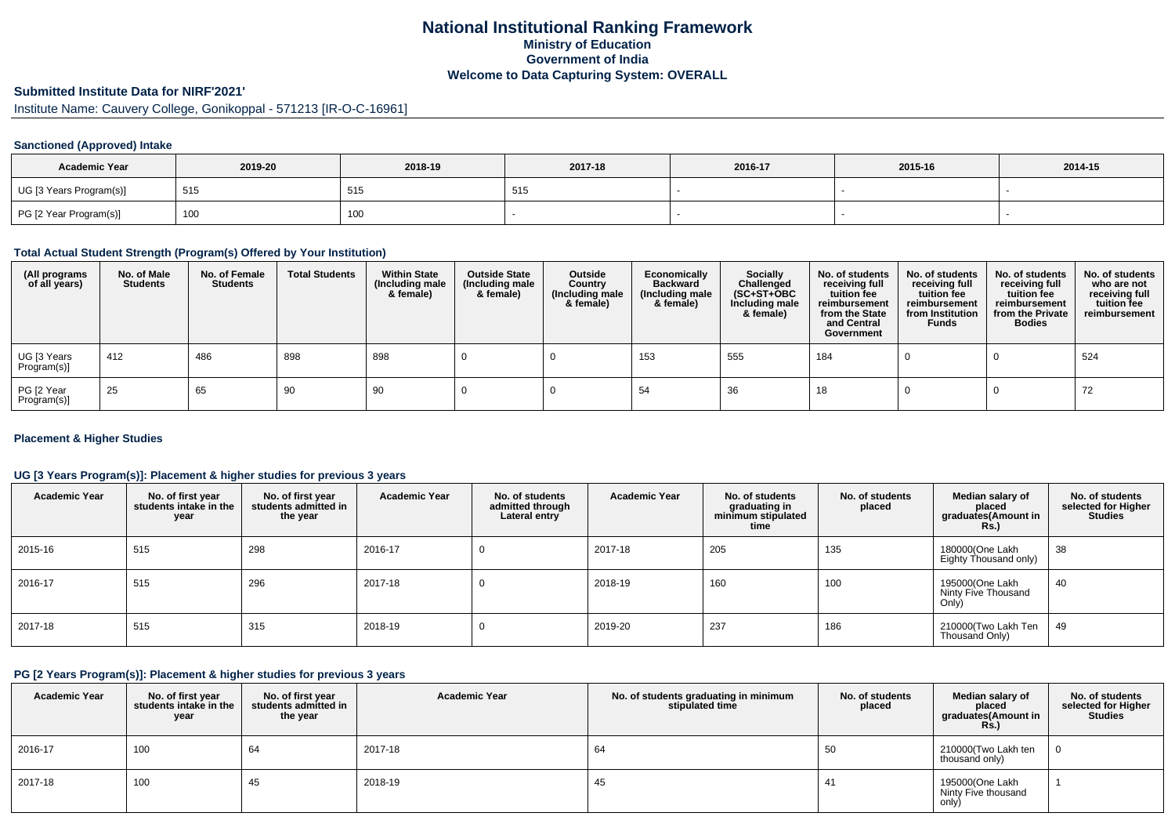# **National Institutional Ranking FrameworkMinistry of Education Government of IndiaWelcome to Data Capturing System: OVERALL**

# **Submitted Institute Data for NIRF'2021'**

Institute Name: Cauvery College, Gonikoppal - 571213 [IR-O-C-16961]

## **Sanctioned (Approved) Intake**

| <b>Academic Year</b>    | 2019-20 | 2018-19 | 2017-18 | 2016-17 | 2015-16 | 2014-15 |
|-------------------------|---------|---------|---------|---------|---------|---------|
| UG [3 Years Program(s)] | 515     | 515     | -515    |         |         |         |
| PG [2 Year Program(s)]  | 100     | 100     |         |         |         |         |

### **Total Actual Student Strength (Program(s) Offered by Your Institution)**

| (All programs<br>of all years) | No. of Male<br><b>Students</b> | No. of Female<br><b>Students</b> | <b>Total Students</b> | <b>Within State</b><br>(Including male<br>& female) | <b>Outside State</b><br>(Including male<br>& female) | Outside<br>Country<br>(Including male<br>& female) | Economically<br><b>Backward</b><br>(Including male<br>& female) | Socially<br>Challenged<br>$(SC+ST+OBC)$<br>Including male<br>& female) | No. of students<br>receiving full<br>tuition fee<br>reimbursement<br>from the State<br>and Central<br>Government | No. of students<br>receiving full<br>tuition fee<br>reimbursement<br>from Institution<br><b>Funds</b> | No. of students<br>receiving full<br>tuition fee<br>reimbursement<br>from the Private<br><b>Bodies</b> | No. of students<br>who are not<br>receiving full<br>tuition fee<br>reimbursement |
|--------------------------------|--------------------------------|----------------------------------|-----------------------|-----------------------------------------------------|------------------------------------------------------|----------------------------------------------------|-----------------------------------------------------------------|------------------------------------------------------------------------|------------------------------------------------------------------------------------------------------------------|-------------------------------------------------------------------------------------------------------|--------------------------------------------------------------------------------------------------------|----------------------------------------------------------------------------------|
| UG [3 Years<br>Program(s)]     | 412                            | 486                              | 898                   | 898                                                 |                                                      |                                                    | 153                                                             | 555                                                                    | 184                                                                                                              |                                                                                                       |                                                                                                        | 524                                                                              |
| PG [2 Year<br>Program(s)]      | 25                             | 65                               | 90                    | 90                                                  |                                                      |                                                    | 54                                                              | 36                                                                     | 18                                                                                                               |                                                                                                       |                                                                                                        | 72                                                                               |

#### **Placement & Higher Studies**

## **UG [3 Years Program(s)]: Placement & higher studies for previous 3 years**

| <b>Academic Year</b> | No. of first year<br>students intake in the<br>year | No. of first year<br>students admitted in<br>the year | <b>Academic Year</b> | No. of students<br>admitted through<br>Lateral entry | <b>Academic Year</b> | No. of students<br>graduating in<br>minimum stipulated<br>time | No. of students<br>placed | Median salary of<br>placed<br>graduates(Amount in<br><b>Rs.)</b> | No. of students<br>selected for Higher<br><b>Studies</b> |
|----------------------|-----------------------------------------------------|-------------------------------------------------------|----------------------|------------------------------------------------------|----------------------|----------------------------------------------------------------|---------------------------|------------------------------------------------------------------|----------------------------------------------------------|
| 2015-16              | 515                                                 | 298                                                   | 2016-17              |                                                      | 2017-18              | 205                                                            | 135                       | 180000(One Lakh<br>Eighty Thousand only)                         | 38                                                       |
| 2016-17              | 515                                                 | 296                                                   | 2017-18              | v                                                    | 2018-19              | 160                                                            | 100                       | 195000(One Lakh<br>Ninty Five Thousand<br>Only)                  | 40                                                       |
| 2017-18              | 515                                                 | 315                                                   | 2018-19              | v                                                    | 2019-20              | 237                                                            | 186                       | 210000(Two Lakh Ten<br>Thousand Only)                            | 49                                                       |

#### **PG [2 Years Program(s)]: Placement & higher studies for previous 3 years**

| <b>Academic Year</b> | No. of first year<br>students intake in the<br>year | No. of first year<br>students admitted in<br>the year | <b>Academic Year</b> | No. of students graduating in minimum<br>stipulated time | No. of students<br>placed | Median salary of<br>placed<br>graduates(Amount in<br>Rs. | No. of students<br>selected for Higher<br><b>Studies</b> |
|----------------------|-----------------------------------------------------|-------------------------------------------------------|----------------------|----------------------------------------------------------|---------------------------|----------------------------------------------------------|----------------------------------------------------------|
| 2016-17              | 100                                                 | 64                                                    | 2017-18              | 64                                                       | 50                        | 210000(Two Lakh ten<br>thousand only)                    |                                                          |
| 2017-18              | 100                                                 | 45                                                    | 2018-19              | 45                                                       |                           | 195000(One Lakh<br>Ninty Five thousand<br>only)          |                                                          |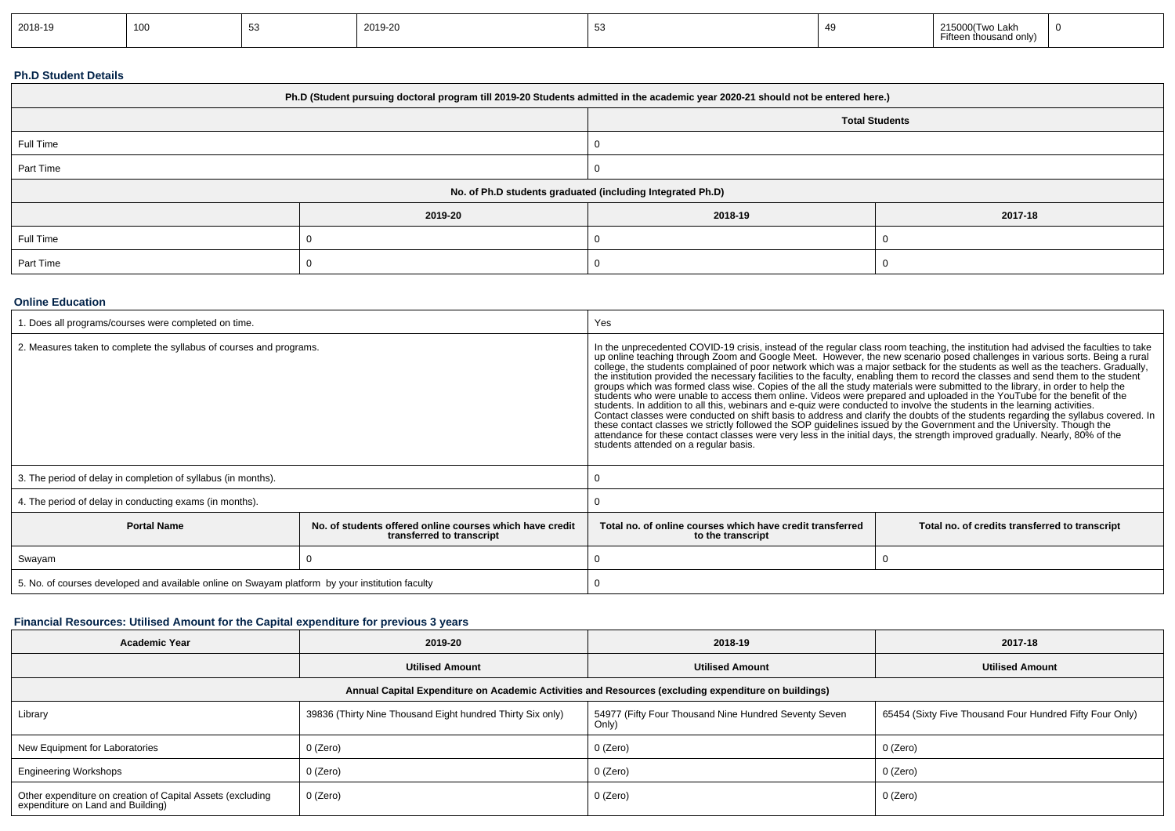| 2018-19 | 100 |  | 2019-20 |  |  | 215000(Two Lakh<br>$ -$<br>า thousand only)<br>ו נכפו | - 61 |
|---------|-----|--|---------|--|--|-------------------------------------------------------|------|
|---------|-----|--|---------|--|--|-------------------------------------------------------|------|

## **Ph.D Student Details**

| Ph.D (Student pursuing doctoral program till 2019-20 Students admitted in the academic year 2020-21 should not be entered here.) |         |                                                            |         |  |  |  |
|----------------------------------------------------------------------------------------------------------------------------------|---------|------------------------------------------------------------|---------|--|--|--|
| <b>Total Students</b>                                                                                                            |         |                                                            |         |  |  |  |
| Full Time                                                                                                                        |         |                                                            |         |  |  |  |
| Part Time                                                                                                                        |         |                                                            |         |  |  |  |
|                                                                                                                                  |         | No. of Ph.D students graduated (including Integrated Ph.D) |         |  |  |  |
|                                                                                                                                  | 2019-20 | 2018-19                                                    | 2017-18 |  |  |  |
| Full Time                                                                                                                        |         |                                                            |         |  |  |  |
| Part Time                                                                                                                        |         |                                                            |         |  |  |  |

#### **Online Education**

| . Does all programs/courses were completed on time.                                                         |  | Yes                                                                                                                                                                                                                                                                                                                                                                                                                                                                                                                                                                                                                                                                                                                                                                                                                                                                                                                                                                                                                                                                                                                                                                                                                                                                                                                                                                          |                                                |  |  |
|-------------------------------------------------------------------------------------------------------------|--|------------------------------------------------------------------------------------------------------------------------------------------------------------------------------------------------------------------------------------------------------------------------------------------------------------------------------------------------------------------------------------------------------------------------------------------------------------------------------------------------------------------------------------------------------------------------------------------------------------------------------------------------------------------------------------------------------------------------------------------------------------------------------------------------------------------------------------------------------------------------------------------------------------------------------------------------------------------------------------------------------------------------------------------------------------------------------------------------------------------------------------------------------------------------------------------------------------------------------------------------------------------------------------------------------------------------------------------------------------------------------|------------------------------------------------|--|--|
| 2. Measures taken to complete the syllabus of courses and programs.                                         |  | In the unprecedented COVID-19 crisis, instead of the regular class room teaching, the institution had advised the faculties to take<br>up online teaching through Zoom and Google Meet. However, the new scenario posed challenges in various sorts. Being a rural<br>college, the students complained of poor network which was a major setback for the students as well as the teachers. Gradually,<br>the institution provided the necessary facilities to the faculty, enabling them to record the classes and send them to the student<br>groups which was formed class wise. Copies of the all the study materials were submitted to the library, in order to help the<br>students who were unable to access them online. Videos were prepared and uploaded in the YouTube for the benefit of the<br>students. In addition to all this, webinars and e-quiz were conducted to involve the students in the learning activities.<br>Contact classes were conducted on shift basis to address and clarify the doubts of the students regarding the syllabus covered. In<br>these contact classes we strictly followed the SOP guidelines issued by the Government and the University. Though the<br>attendance for these contact classes were very less in the initial days, the strength improved gradually. Nearly, 80% of the<br>students attended on a regular basis. |                                                |  |  |
| 3. The period of delay in completion of syllabus (in months).                                               |  |                                                                                                                                                                                                                                                                                                                                                                                                                                                                                                                                                                                                                                                                                                                                                                                                                                                                                                                                                                                                                                                                                                                                                                                                                                                                                                                                                                              |                                                |  |  |
| 4. The period of delay in conducting exams (in months).                                                     |  |                                                                                                                                                                                                                                                                                                                                                                                                                                                                                                                                                                                                                                                                                                                                                                                                                                                                                                                                                                                                                                                                                                                                                                                                                                                                                                                                                                              |                                                |  |  |
| <b>Portal Name</b><br>No, of students offered online courses which have credit<br>transferred to transcript |  | Total no. of online courses which have credit transferred<br>to the transcript                                                                                                                                                                                                                                                                                                                                                                                                                                                                                                                                                                                                                                                                                                                                                                                                                                                                                                                                                                                                                                                                                                                                                                                                                                                                                               | Total no. of credits transferred to transcript |  |  |
| Swayam                                                                                                      |  |                                                                                                                                                                                                                                                                                                                                                                                                                                                                                                                                                                                                                                                                                                                                                                                                                                                                                                                                                                                                                                                                                                                                                                                                                                                                                                                                                                              |                                                |  |  |
| 5. No. of courses developed and available online on Swayam platform by your institution faculty             |  |                                                                                                                                                                                                                                                                                                                                                                                                                                                                                                                                                                                                                                                                                                                                                                                                                                                                                                                                                                                                                                                                                                                                                                                                                                                                                                                                                                              |                                                |  |  |

## **Financial Resources: Utilised Amount for the Capital expenditure for previous 3 years**

| <b>Academic Year</b>                                                                                 | 2019-20                                                    | 2018-19                                                        | 2017-18                                                  |  |  |  |  |  |
|------------------------------------------------------------------------------------------------------|------------------------------------------------------------|----------------------------------------------------------------|----------------------------------------------------------|--|--|--|--|--|
|                                                                                                      | <b>Utilised Amount</b>                                     | <b>Utilised Amount</b>                                         | <b>Utilised Amount</b>                                   |  |  |  |  |  |
| Annual Capital Expenditure on Academic Activities and Resources (excluding expenditure on buildings) |                                                            |                                                                |                                                          |  |  |  |  |  |
| Library                                                                                              | 39836 (Thirty Nine Thousand Eight hundred Thirty Six only) | 54977 (Fifty Four Thousand Nine Hundred Seventy Seven<br>Only) | 65454 (Sixty Five Thousand Four Hundred Fifty Four Only) |  |  |  |  |  |
| New Equipment for Laboratories                                                                       | 0 (Zero)                                                   | 0 (Zero)                                                       | 0 (Zero)                                                 |  |  |  |  |  |
| <b>Engineering Workshops</b>                                                                         | 0 (Zero)                                                   | 0 (Zero)                                                       | 0 (Zero)                                                 |  |  |  |  |  |
| Other expenditure on creation of Capital Assets (excluding<br>expenditure on Land and Building)      | 0 (Zero)                                                   | 0 (Zero)                                                       | 0 (Zero)                                                 |  |  |  |  |  |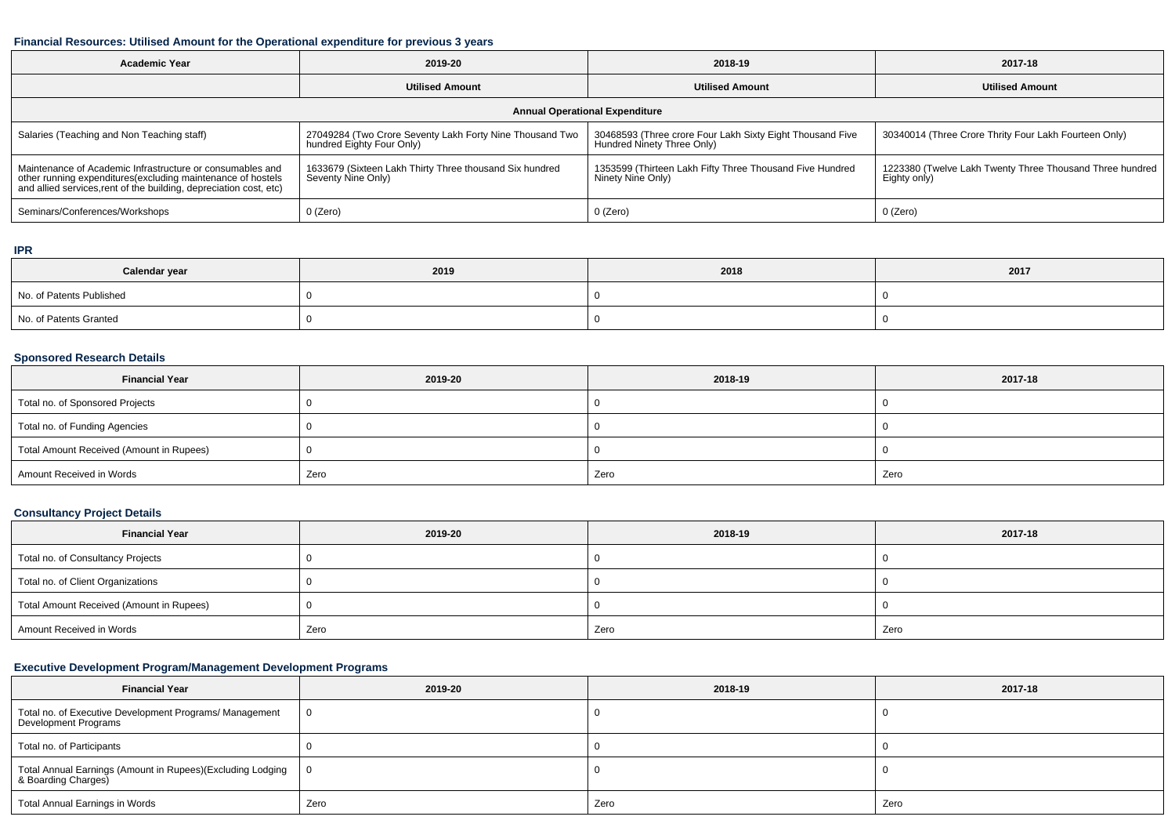#### **Financial Resources: Utilised Amount for the Operational expenditure for previous 3 years**

| <b>Academic Year</b>                                                                                                                                                                           | 2019-20                                                                               | 2018-19                                                                                 | 2017-18                                                                  |  |  |  |  |
|------------------------------------------------------------------------------------------------------------------------------------------------------------------------------------------------|---------------------------------------------------------------------------------------|-----------------------------------------------------------------------------------------|--------------------------------------------------------------------------|--|--|--|--|
|                                                                                                                                                                                                | <b>Utilised Amount</b>                                                                | <b>Utilised Amount</b>                                                                  | <b>Utilised Amount</b>                                                   |  |  |  |  |
| <b>Annual Operational Expenditure</b>                                                                                                                                                          |                                                                                       |                                                                                         |                                                                          |  |  |  |  |
| Salaries (Teaching and Non Teaching staff)                                                                                                                                                     | 27049284 (Two Crore Seventy Lakh Forty Nine Thousand Two<br>hundred Eighty Four Only) | 30468593 (Three crore Four Lakh Sixty Eight Thousand Five<br>Hundred Ninety Three Only) | 30340014 (Three Crore Thrity Four Lakh Fourteen Only)                    |  |  |  |  |
| Maintenance of Academic Infrastructure or consumables and<br>other running expenditures(excluding maintenance of hostels<br>and allied services, rent of the building, depreciation cost, etc) | 1633679 (Sixteen Lakh Thirty Three thousand Six hundred<br>Seventy Nine Only)         | 1353599 (Thirteen Lakh Fifty Three Thousand Five Hundred<br>Ninety Nine Only)           | 1223380 (Twelve Lakh Twenty Three Thousand Three hundred<br>Eighty only) |  |  |  |  |
| Seminars/Conferences/Workshops                                                                                                                                                                 | 0 (Zero)                                                                              | $0$ (Zero)                                                                              | 0 (Zero)                                                                 |  |  |  |  |

#### **IPR**

| Calendar year            | 2019 | 2018 | 2017 |
|--------------------------|------|------|------|
| No. of Patents Published |      |      |      |
| No. of Patents Granted   |      |      |      |

#### **Sponsored Research Details**

| <b>Financial Year</b>                    | 2019-20 | 2018-19 | 2017-18 |
|------------------------------------------|---------|---------|---------|
| Total no. of Sponsored Projects          |         |         |         |
| Total no. of Funding Agencies            |         |         |         |
| Total Amount Received (Amount in Rupees) |         |         |         |
| Amount Received in Words                 | Zero    | Zero    | Zero    |

# **Consultancy Project Details**

| <b>Financial Year</b>                    | 2019-20 | 2018-19 | 2017-18 |
|------------------------------------------|---------|---------|---------|
| Total no. of Consultancy Projects        |         |         |         |
| Total no. of Client Organizations        |         |         |         |
| Total Amount Received (Amount in Rupees) |         |         |         |
| Amount Received in Words                 | Zero    | Zero    | Zero    |

# **Executive Development Program/Management Development Programs**

| <b>Financial Year</b>                                                             | 2019-20 | 2018-19 | 2017-18 |
|-----------------------------------------------------------------------------------|---------|---------|---------|
| Total no. of Executive Development Programs/ Management<br>Development Programs   |         |         |         |
| Total no. of Participants                                                         |         |         |         |
| Total Annual Earnings (Amount in Rupees)(Excluding Lodging<br>& Boarding Charges) | - 0     |         |         |
| Total Annual Earnings in Words                                                    | Zero    | Zero    | Zero    |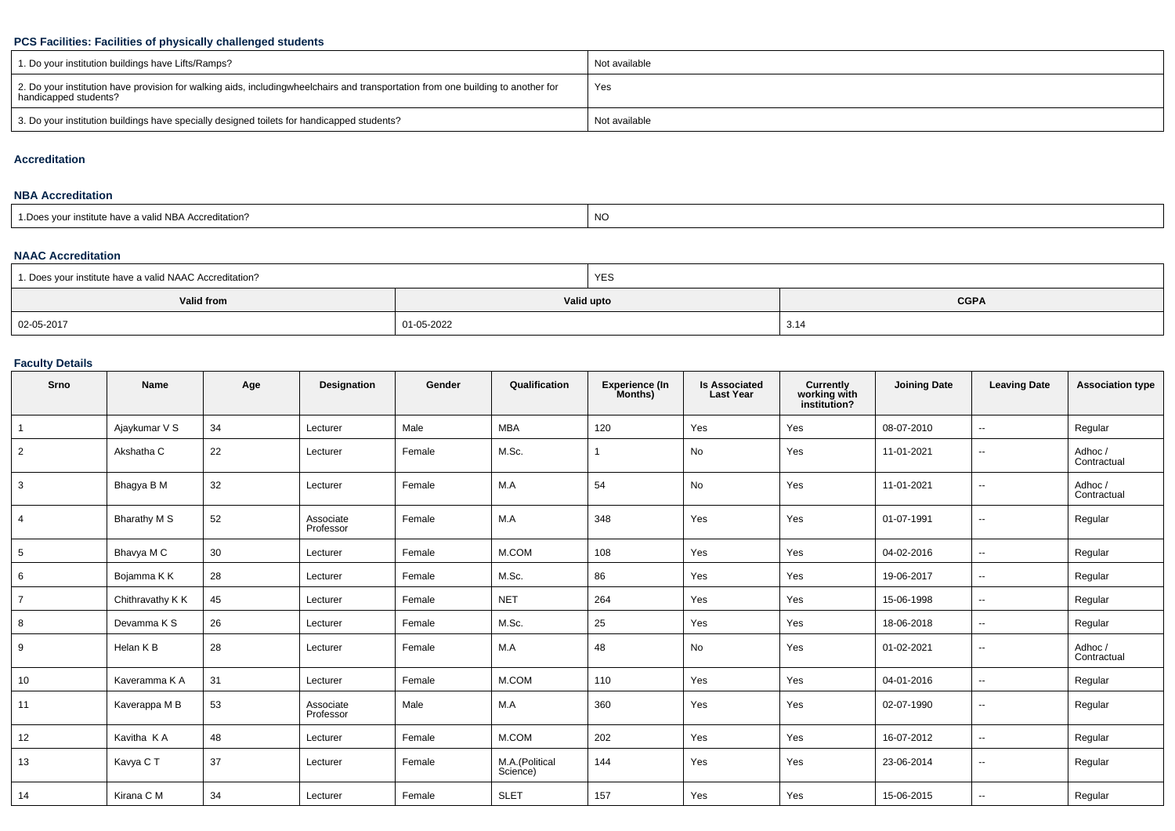## **PCS Facilities: Facilities of physically challenged students**

| 1. Do your institution buildings have Lifts/Ramps?                                                                                                        | Not available |
|-----------------------------------------------------------------------------------------------------------------------------------------------------------|---------------|
| 2. Do your institution have provision for walking aids, includingwheelchairs and transportation from one building to another for<br>handicapped students? | Yes           |
| 3. Do your institution buildings have specially designed toilets for handicapped students?                                                                | Not available |

#### **Accreditation**

#### **NBA Accreditation**

| 1. Does your institute have a valid NBA Accreditation? | NC |
|--------------------------------------------------------|----|
|--------------------------------------------------------|----|

## **NAAC Accreditation**

| 1. Does your institute have a valid NAAC Accreditation? |  | <b>YES</b>                |      |  |  |
|---------------------------------------------------------|--|---------------------------|------|--|--|
| Valid from                                              |  | <b>CGPA</b><br>Valid upto |      |  |  |
| 02-05-2017<br>01-05-2022                                |  |                           | 3.14 |  |  |

## **Faculty Details**

| Srno           | Name             | Age | Designation            | Gender | Qualification              | Experience (In<br>Months) | <b>Is Associated</b><br><b>Last Year</b> | <b>Currently</b><br>working with<br>institution? | <b>Joining Date</b> | <b>Leaving Date</b>      | <b>Association type</b> |
|----------------|------------------|-----|------------------------|--------|----------------------------|---------------------------|------------------------------------------|--------------------------------------------------|---------------------|--------------------------|-------------------------|
|                | Ajaykumar V S    | 34  | Lecturer               | Male   | <b>MBA</b>                 | 120                       | Yes                                      | Yes                                              | 08-07-2010          | --                       | Regular                 |
| $\overline{2}$ | Akshatha C       | 22  | Lecturer               | Female | M.Sc.                      |                           | No                                       | Yes                                              | 11-01-2021          | $\overline{\phantom{a}}$ | Adhoc/<br>Contractual   |
| 3              | Bhagya B M       | 32  | Lecturer               | Female | M.A                        | 54                        | No                                       | Yes                                              | 11-01-2021          | $\overline{\phantom{a}}$ | Adhoc/<br>Contractual   |
|                | Bharathy M S     | 52  | Associate<br>Professor | Female | M.A                        | 348                       | Yes                                      | Yes                                              | 01-07-1991          | --                       | Regular                 |
| 5              | Bhavya M C       | 30  | Lecturer               | Female | M.COM                      | 108                       | Yes                                      | Yes                                              | 04-02-2016          | --                       | Regular                 |
| 6              | Bojamma K K      | 28  | Lecturer               | Female | M.Sc.                      | 86                        | Yes                                      | Yes                                              | 19-06-2017          | --                       | Regular                 |
| $\overline{7}$ | Chithravathy K K | 45  | Lecturer               | Female | <b>NET</b>                 | 264                       | Yes                                      | Yes                                              | 15-06-1998          | $\overline{\phantom{a}}$ | Regular                 |
| 8              | Devamma K S      | 26  | Lecturer               | Female | M.Sc.                      | 25                        | Yes                                      | Yes                                              | 18-06-2018          | $\overline{\phantom{a}}$ | Regular                 |
| 9              | Helan K B        | 28  | Lecturer               | Female | M.A                        | 48                        | No                                       | Yes                                              | 01-02-2021          | $\overline{\phantom{a}}$ | Adhoc/<br>Contractual   |
| 10             | Kaveramma K A    | 31  | Lecturer               | Female | M.COM                      | 110                       | Yes                                      | Yes                                              | 04-01-2016          | --                       | Regular                 |
| 11             | Kaverappa M B    | 53  | Associate<br>Professor | Male   | M.A                        | 360                       | Yes                                      | Yes                                              | 02-07-1990          | $\overline{\phantom{a}}$ | Regular                 |
| 12             | Kavitha KA       | 48  | Lecturer               | Female | M.COM                      | 202                       | Yes                                      | Yes                                              | 16-07-2012          | $\overline{\phantom{a}}$ | Regular                 |
| 13             | Kavya C T        | 37  | Lecturer               | Female | M.A.(Political<br>Science) | 144                       | Yes                                      | Yes                                              | 23-06-2014          | $\overline{\phantom{a}}$ | Regular                 |
| 14             | Kirana C M       | 34  | Lecturer               | Female | <b>SLET</b>                | 157                       | Yes                                      | Yes                                              | 15-06-2015          | --                       | Regular                 |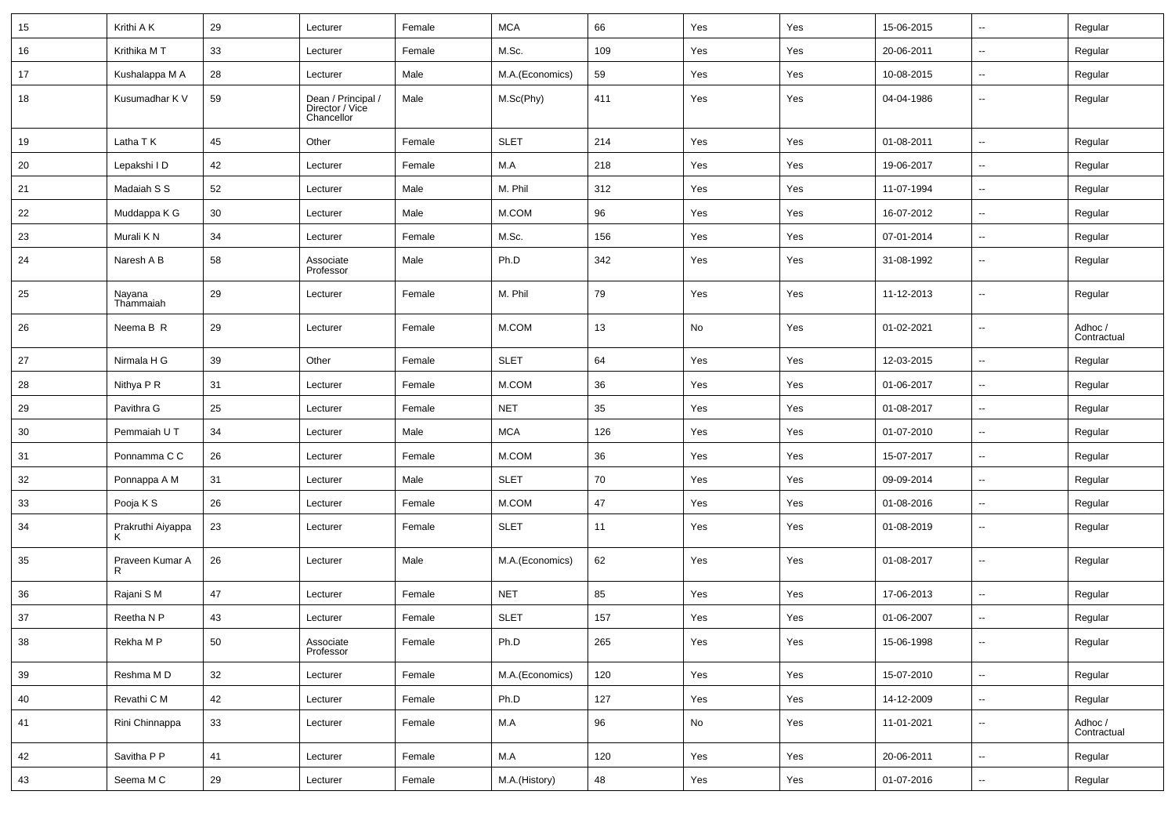| 15 | Krithi A K          | 29     | Lecturer                                            | Female | <b>MCA</b>      | 66  | Yes | Yes | 15-06-2015 | $\sim$                   | Regular                |
|----|---------------------|--------|-----------------------------------------------------|--------|-----------------|-----|-----|-----|------------|--------------------------|------------------------|
| 16 | Krithika MT         | 33     | Lecturer                                            | Female | M.Sc.           | 109 | Yes | Yes | 20-06-2011 | $\sim$                   | Regular                |
| 17 | Kushalappa M A      | 28     | Lecturer                                            | Male   | M.A.(Economics) | 59  | Yes | Yes | 10-08-2015 | --                       | Regular                |
| 18 | Kusumadhar K V      | 59     | Dean / Principal /<br>Director / Vice<br>Chancellor | Male   | M.Sc(Phy)       | 411 | Yes | Yes | 04-04-1986 | $\overline{\phantom{a}}$ | Regular                |
| 19 | Latha T K           | 45     | Other                                               | Female | <b>SLET</b>     | 214 | Yes | Yes | 01-08-2011 | $\overline{\phantom{a}}$ | Regular                |
| 20 | Lepakshi I D        | 42     | Lecturer                                            | Female | M.A             | 218 | Yes | Yes | 19-06-2017 | $\overline{\phantom{a}}$ | Regular                |
| 21 | Madaiah S S         | 52     | Lecturer                                            | Male   | M. Phil         | 312 | Yes | Yes | 11-07-1994 | $\overline{\phantom{a}}$ | Regular                |
| 22 | Muddappa K G        | 30     | Lecturer                                            | Male   | M.COM           | 96  | Yes | Yes | 16-07-2012 | $\overline{\phantom{a}}$ | Regular                |
| 23 | Murali K N          | 34     | Lecturer                                            | Female | M.Sc.           | 156 | Yes | Yes | 07-01-2014 | $\overline{\phantom{a}}$ | Regular                |
| 24 | Naresh A B          | 58     | Associate<br>Professor                              | Male   | Ph.D            | 342 | Yes | Yes | 31-08-1992 | --                       | Regular                |
| 25 | Nayana<br>Thammaiah | 29     | Lecturer                                            | Female | M. Phil         | 79  | Yes | Yes | 11-12-2013 | $\sim$                   | Regular                |
| 26 | Neema B R           | 29     | Lecturer                                            | Female | M.COM           | 13  | No  | Yes | 01-02-2021 | $\sim$                   | Adhoc /<br>Contractual |
| 27 | Nirmala H G         | 39     | Other                                               | Female | <b>SLET</b>     | 64  | Yes | Yes | 12-03-2015 | --                       | Regular                |
| 28 | Nithya P R          | 31     | Lecturer                                            | Female | M.COM           | 36  | Yes | Yes | 01-06-2017 | $\overline{\phantom{a}}$ | Regular                |
| 29 | Pavithra G          | 25     | Lecturer                                            | Female | <b>NET</b>      | 35  | Yes | Yes | 01-08-2017 | $\overline{\phantom{a}}$ | Regular                |
| 30 | Pemmaiah U T        | 34     | Lecturer                                            | Male   | <b>MCA</b>      | 126 | Yes | Yes | 01-07-2010 | $\sim$                   | Regular                |
| 31 | Ponnamma C C        | 26     | Lecturer                                            | Female | M.COM           | 36  | Yes | Yes | 15-07-2017 | $\overline{\phantom{a}}$ | Regular                |
| 32 | Ponnappa A M        | 31     | Lecturer                                            | Male   | <b>SLET</b>     | 70  | Yes | Yes | 09-09-2014 | $\sim$                   | Regular                |
| 33 | Pooja K S           | 26     | Lecturer                                            | Female | M.COM           | 47  | Yes | Yes | 01-08-2016 | $\overline{\phantom{a}}$ | Regular                |
| 34 | Prakruthi Aiyappa   | 23     | Lecturer                                            | Female | SLET            | 11  | Yes | Yes | 01-08-2019 | $\overline{\phantom{a}}$ | Regular                |
| 35 | Praveen Kumar A     | 26     | Lecturer                                            | Male   | M.A.(Economics) | 62  | Yes | Yes | 01-08-2017 | $\sim$                   | Regular                |
| 36 | Rajani S M          | 47     | Lecturer                                            | Female | <b>NET</b>      | 85  | Yes | Yes | 17-06-2013 | $\ddotsc$                | Regular                |
| 37 | Reetha N P          | 43     | Lecturer                                            | Female | <b>SLET</b>     | 157 | Yes | Yes | 01-06-2007 | $\sim$                   | Regular                |
| 38 | Rekha M P           | 50     | Associate<br>Professor                              | Female | Ph.D            | 265 | Yes | Yes | 15-06-1998 |                          | Regular                |
| 39 | Reshma MD           | 32     | Lecturer                                            | Female | M.A.(Economics) | 120 | Yes | Yes | 15-07-2010 | $\mathbb{Z}^2$           | Regular                |
| 40 | Revathi C M         | 42     | Lecturer                                            | Female | Ph.D            | 127 | Yes | Yes | 14-12-2009 | $\overline{\phantom{a}}$ | Regular                |
| 41 | Rini Chinnappa      | $33\,$ | Lecturer                                            | Female | M.A             | 96  | No  | Yes | 11-01-2021 | $\overline{\phantom{a}}$ | Adhoc /<br>Contractual |
| 42 | Savitha P P         | 41     | Lecturer                                            | Female | M.A             | 120 | Yes | Yes | 20-06-2011 | $\overline{\phantom{a}}$ | Regular                |
| 43 | Seema M C           | 29     | Lecturer                                            | Female | M.A.(History)   | 48  | Yes | Yes | 01-07-2016 | $\sim$                   | Regular                |